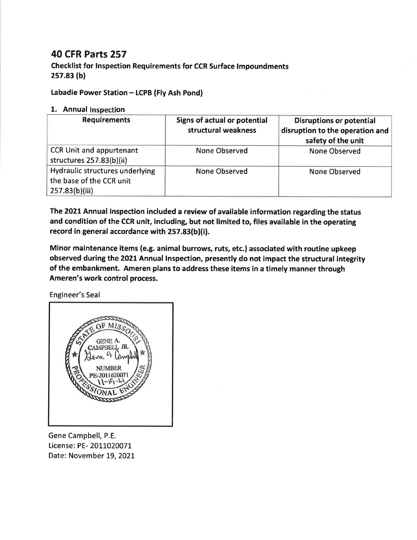## **40 CFR Parts 257**

**Checklist for Inspection Requirements for CCR Surface Impoundments**  $257.83(b)$ 

Labadie Power Station - LCPB (Fly Ash Pond)

## 1. Annual Inspection

| <b>Requirements</b>                                                           | Signs of actual or potential<br>structural weakness | <b>Disruptions or potential</b><br>disruption to the operation and<br>safety of the unit |
|-------------------------------------------------------------------------------|-----------------------------------------------------|------------------------------------------------------------------------------------------|
| <b>CCR Unit and appurtenant</b><br>structures 257.83(b)(ii)                   | None Observed                                       | <b>None Observed</b>                                                                     |
| Hydraulic structures underlying<br>the base of the CCR unit<br>257.83(b)(iii) | <b>None Observed</b>                                | None Observed                                                                            |

The 2021 Annual Inspection included a review of available information regarding the status and condition of the CCR unit, including, but not limited to, files available in the operating record in general accordance with 257.83(b)(i).

Minor maintenance items (e.g. animal burrows, ruts, etc.) associated with routine upkeep observed during the 2021 Annual Inspection, presently do not impact the structural integrity of the embankment. Ameren plans to address these items in a timely manner through Ameren's work control process.

Engineer's Seal



Gene Campbell, P.E. License: PE- 2011020071 Date: November 19, 2021